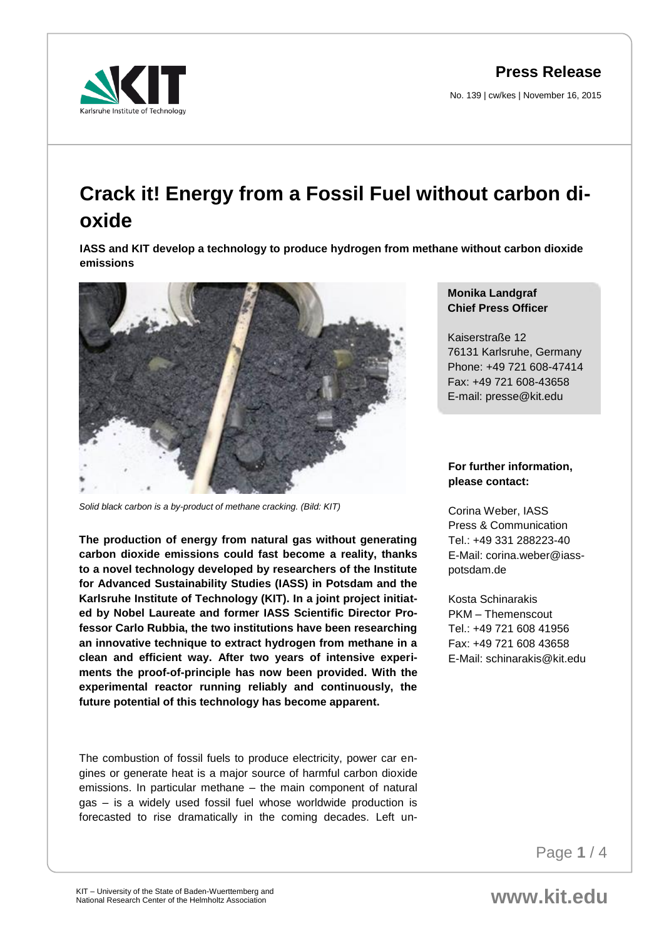**Press Release**

No. 139 | cw/kes | November 16, 2015



## **Crack it! Energy from a Fossil Fuel without carbon dioxide**

**IASS and KIT develop a technology to produce hydrogen from methane without carbon dioxide emissions**



*Solid black carbon is a by-product of methane cracking. (Bild: KIT)*

**The production of energy from natural gas without generating carbon dioxide emissions could fast become a reality, thanks to a novel technology developed by researchers of the Institute for Advanced Sustainability Studies (IASS) in Potsdam and the Karlsruhe Institute of Technology (KIT). In a joint project initiated by Nobel Laureate and former IASS Scientific Director Professor Carlo Rubbia, the two institutions have been researching an innovative technique to extract hydrogen from methane in a clean and efficient way. After two years of intensive experiments the proof-of-principle has now been provided. With the experimental reactor running reliably and continuously, the future potential of this technology has become apparent.**

The combustion of fossil fuels to produce electricity, power car engines or generate heat is a major source of harmful carbon dioxide emissions. In particular methane – the main component of natural gas – is a widely used fossil fuel whose worldwide production is forecasted to rise dramatically in the coming decades. Left un-

## **Monika Landgraf Chief Press Officer**

Kaiserstraße 12 76131 Karlsruhe, Germany Phone: +49 721 608-47414 Fax: +49 721 608-43658 E-mail: presse@kit.edu

## **For further information, please contact:**

Corina Weber, IASS Press & Communication Tel.: +49 331 288223-40 E-Mail: corina.weber@iasspotsdam.de

Kosta Schinarakis PKM – Themenscout Tel.: +49 721 608 41956 Fax: +49 721 608 43658 E-Mail: schinarakis@kit.edu

Page **1** / 4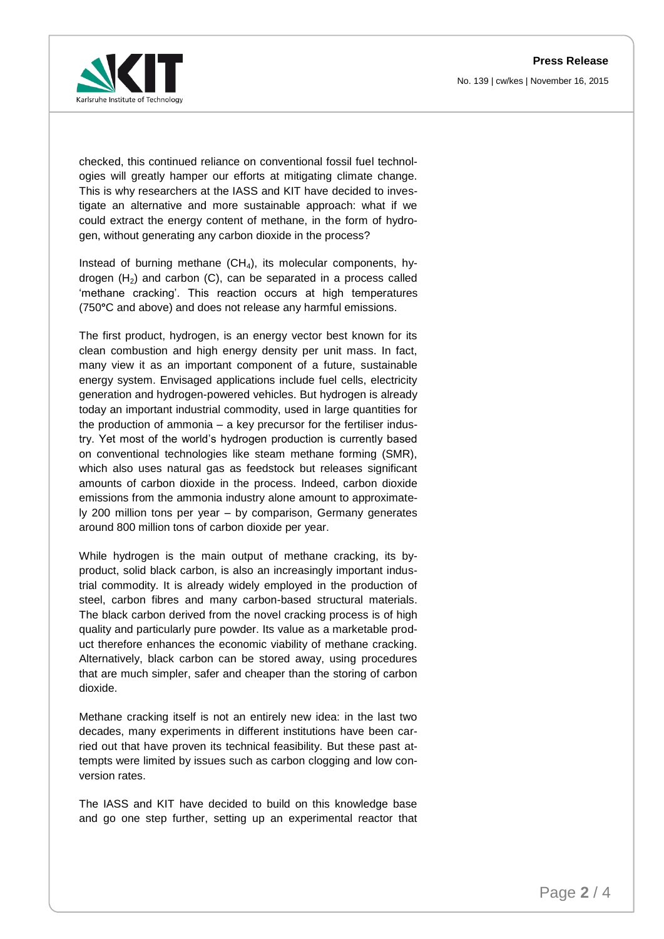**Press Release** No. 139 | cw/kes | November 16, 2015



checked, this continued reliance on conventional fossil fuel technologies will greatly hamper our efforts at mitigating climate change. This is why researchers at the IASS and KIT have decided to investigate an alternative and more sustainable approach: what if we could extract the energy content of methane, in the form of hydrogen, without generating any carbon dioxide in the process?

Instead of burning methane  $(CH_4)$ , its molecular components, hydrogen  $(H<sub>2</sub>)$  and carbon  $(C)$ , can be separated in a process called 'methane cracking'. This reaction occurs at high temperatures (750**°**C and above) and does not release any harmful emissions.

The first product, hydrogen, is an energy vector best known for its clean combustion and high energy density per unit mass. In fact, many view it as an important component of a future, sustainable energy system. Envisaged applications include fuel cells, electricity generation and hydrogen-powered vehicles. But hydrogen is already today an important industrial commodity, used in large quantities for the production of ammonia – a key precursor for the fertiliser industry. Yet most of the world's hydrogen production is currently based on conventional technologies like steam methane forming (SMR), which also uses natural gas as feedstock but releases significant amounts of carbon dioxide in the process. Indeed, carbon dioxide emissions from the ammonia industry alone amount to approximately 200 million tons per year – by comparison, Germany generates around 800 million tons of carbon dioxide per year.

While hydrogen is the main output of methane cracking, its byproduct, solid black carbon, is also an increasingly important industrial commodity. It is already widely employed in the production of steel, carbon fibres and many carbon-based structural materials. The black carbon derived from the novel cracking process is of high quality and particularly pure powder. Its value as a marketable product therefore enhances the economic viability of methane cracking. Alternatively, black carbon can be stored away, using procedures that are much simpler, safer and cheaper than the storing of carbon dioxide.

Methane cracking itself is not an entirely new idea: in the last two decades, many experiments in different institutions have been carried out that have proven its technical feasibility. But these past attempts were limited by issues such as carbon clogging and low conversion rates.

The IASS and KIT have decided to build on this knowledge base and go one step further, setting up an experimental reactor that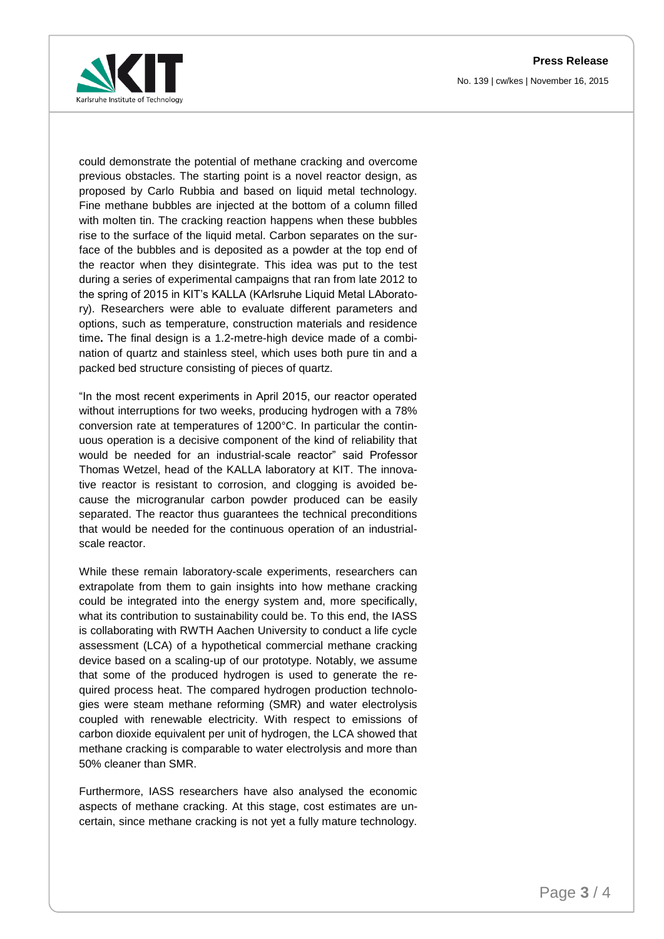**Press Release** No. 139 | cw/kes | November 16, 2015



could demonstrate the potential of methane cracking and overcome previous obstacles. The starting point is a novel reactor design, as proposed by Carlo Rubbia and based on liquid metal technology. Fine methane bubbles are injected at the bottom of a column filled with molten tin. The cracking reaction happens when these bubbles rise to the surface of the liquid metal. Carbon separates on the surface of the bubbles and is deposited as a powder at the top end of the reactor when they disintegrate. This idea was put to the test during a series of experimental campaigns that ran from late 2012 to the spring of 2015 in KIT's KALLA (KArlsruhe Liquid Metal LAboratory). Researchers were able to evaluate different parameters and options, such as temperature, construction materials and residence time**.** The final design is a 1.2-metre-high device made of a combination of quartz and stainless steel, which uses both pure tin and a packed bed structure consisting of pieces of quartz.

"In the most recent experiments in April 2015, our reactor operated without interruptions for two weeks, producing hydrogen with a 78% conversion rate at temperatures of 1200°C. In particular the continuous operation is a decisive component of the kind of reliability that would be needed for an industrial-scale reactor" said Professor Thomas Wetzel, head of the KALLA laboratory at KIT. The innovative reactor is resistant to corrosion, and clogging is avoided because the microgranular carbon powder produced can be easily separated. The reactor thus guarantees the technical preconditions that would be needed for the continuous operation of an industrialscale reactor.

While these remain laboratory-scale experiments, researchers can extrapolate from them to gain insights into how methane cracking could be integrated into the energy system and, more specifically, what its contribution to sustainability could be. To this end, the IASS is collaborating with RWTH Aachen University to conduct a life cycle assessment (LCA) of a hypothetical commercial methane cracking device based on a scaling-up of our prototype. Notably, we assume that some of the produced hydrogen is used to generate the required process heat. The compared hydrogen production technologies were steam methane reforming (SMR) and water electrolysis coupled with renewable electricity. With respect to emissions of carbon dioxide equivalent per unit of hydrogen, the LCA showed that methane cracking is comparable to water electrolysis and more than 50% cleaner than SMR.

Furthermore, IASS researchers have also analysed the economic aspects of methane cracking. At this stage, cost estimates are uncertain, since methane cracking is not yet a fully mature technology.